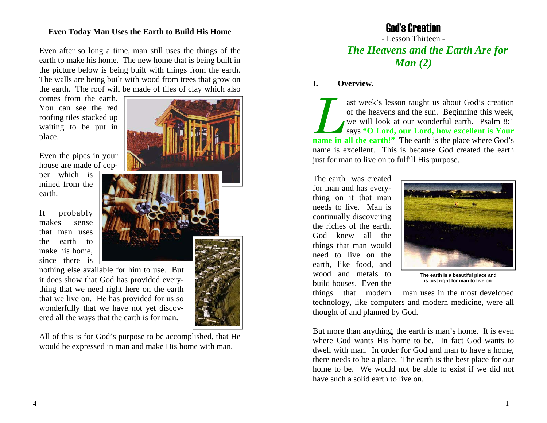## **Even Today Man Uses the Earth to Build His Home**

Even after so long a time, man still uses the things of the earth to make his home. The new home that is being built in the picture below is being built with things from the earth. The walls are being built with wood from trees that grow on the earth. The roof will be made of tiles of clay which also

comes from the earth. You can see the red roofing tiles stacked up waiting to be put in place.

Even the pipes in your house are made of cop-

per which is mined from the earth.

It probably makes sense that man uses the earth to make his home, since there is

nothing else available for him to use. But it does show that God has provided everything that we need right here on the earth that we live on. He has provided for us so wonderfully that we have not yet discovered all the ways that the earth is for man.

All of this is for God's purpose to be accomplished, that He would be expressed in man and make His home with man.



# God's Creation

- Lesson Thirteen - *The Heavens and the Earth Are for Man (2)*

#### **I. Overview.**

ast week's lesson taught us about God's creation of the heavens and the sun. Beginning this week, we will look at our wonderful earth. Psalm 8:1 says **"O Lord, our Lord, how excellent is Your name in all the earth!"** The earth is the place where God's name is excellent. This is because God created the earth just for man to live on to fulfill His purpose.

The earth was created for man and has everything on it that man needs to live. Man is continually discovering the riches of the earth. God knew all the things that man would need to live on the earth, like food, and wood and metals to build houses. Even the



**The earth is a beautiful place and is just right for man to live on.** 

things that modern man uses in the most developed technology, like computers and modern medicine, were all thought of and planned by God.

But more than anything, the earth is man's home. It is even where God wants His home to be. In fact God wants to dwell with man. In order for God and man to have a home, there needs to be a place. The earth is the best place for our home to be. We would not be able to exist if we did not have such a solid earth to live on.